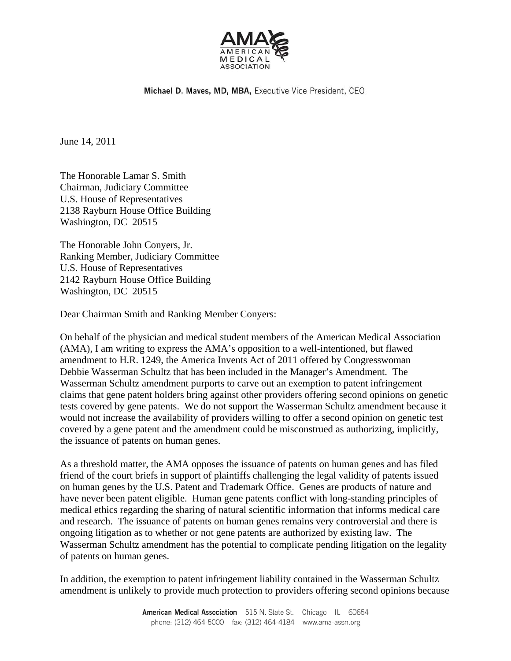

Michael D. Maves, MD, MBA, Executive Vice President, CEO

June 14, 2011

The Honorable Lamar S. Smith Chairman, Judiciary Committee U.S. House of Representatives 2138 Rayburn House Office Building Washington, DC 20515

The Honorable John Conyers, Jr. Ranking Member, Judiciary Committee U.S. House of Representatives 2142 Rayburn House Office Building Washington, DC 20515

Dear Chairman Smith and Ranking Member Conyers:

On behalf of the physician and medical student members of the American Medical Association (AMA), I am writing to express the AMA's opposition to a well-intentioned, but flawed amendment to H.R. 1249, the America Invents Act of 2011 offered by Congresswoman Debbie Wasserman Schultz that has been included in the Manager's Amendment. The Wasserman Schultz amendment purports to carve out an exemption to patent infringement claims that gene patent holders bring against other providers offering second opinions on genetic tests covered by gene patents. We do not support the Wasserman Schultz amendment because it would not increase the availability of providers willing to offer a second opinion on genetic test covered by a gene patent and the amendment could be misconstrued as authorizing, implicitly, the issuance of patents on human genes.

As a threshold matter, the AMA opposes the issuance of patents on human genes and has filed friend of the court briefs in support of plaintiffs challenging the legal validity of patents issued on human genes by the U.S. Patent and Trademark Office. Genes are products of nature and have never been patent eligible. Human gene patents conflict with long-standing principles of medical ethics regarding the sharing of natural scientific information that informs medical care and research. The issuance of patents on human genes remains very controversial and there is ongoing litigation as to whether or not gene patents are authorized by existing law. The Wasserman Schultz amendment has the potential to complicate pending litigation on the legality of patents on human genes.

In addition, the exemption to patent infringement liability contained in the Wasserman Schultz amendment is unlikely to provide much protection to providers offering second opinions because